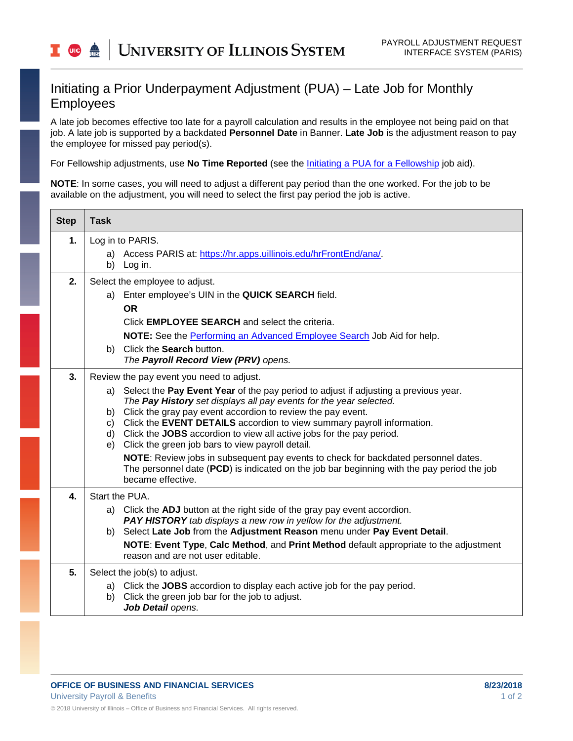## Initiating a Prior Underpayment Adjustment (PUA) – Late Job for Monthly Employees

A late job becomes effective too late for a payroll calculation and results in the employee not being paid on that job. A late job is supported by a backdated **Personnel Date** in Banner. **Late Job** is the adjustment reason to pay the employee for missed pay period(s).

For Fellowship adjustments, use **No Time Reported** (see the [Initiating a PUA for a Fellowship](https://www.obfs.uillinois.edu/common/pages/DisplayFile.aspx?itemId=1003312) job aid).

**NOTE**: In some cases, you will need to adjust a different pay period than the one worked. For the job to be available on the adjustment, you will need to select the first pay period the job is active.

| <b>Step</b>        | <b>Task</b>                                                                                                                                                                      |
|--------------------|----------------------------------------------------------------------------------------------------------------------------------------------------------------------------------|
| 1.                 | Log in to PARIS.<br>a) Access PARIS at: https://hr.apps.uillinois.edu/hrFrontEnd/ana/.                                                                                           |
|                    | b) Log in.                                                                                                                                                                       |
| 2.                 | Select the employee to adjust.                                                                                                                                                   |
|                    | a) Enter employee's UIN in the QUICK SEARCH field.                                                                                                                               |
|                    | <b>OR</b>                                                                                                                                                                        |
|                    | Click <b>EMPLOYEE SEARCH</b> and select the criteria.                                                                                                                            |
|                    | NOTE: See the Performing an Advanced Employee Search Job Aid for help.<br>b) Click the Search button.                                                                            |
|                    | The Payroll Record View (PRV) opens.                                                                                                                                             |
| 3.                 | Review the pay event you need to adjust.                                                                                                                                         |
|                    | Select the Pay Event Year of the pay period to adjust if adjusting a previous year.<br>a)                                                                                        |
|                    | The Pay History set displays all pay events for the year selected.<br>Click the gray pay event accordion to review the pay event.<br>b)                                          |
|                    | Click the EVENT DETAILS accordion to view summary payroll information.<br>C)                                                                                                     |
|                    | d) Click the JOBS accordion to view all active jobs for the pay period.<br>Click the green job bars to view payroll detail.<br>e)                                                |
|                    | NOTE: Review jobs in subsequent pay events to check for backdated personnel dates.<br>The personnel date (PCD) is indicated on the job bar beginning with the pay period the job |
|                    | became effective.                                                                                                                                                                |
| $\boldsymbol{4}$ . | Start the PUA.                                                                                                                                                                   |
|                    | a) Click the <b>ADJ</b> button at the right side of the gray pay event accordion.                                                                                                |
|                    | <b>PAY HISTORY</b> tab displays a new row in yellow for the adjustment.<br>b) Select Late Job from the Adjustment Reason menu under Pay Event Detail.                            |
|                    | NOTE: Event Type, Calc Method, and Print Method default appropriate to the adjustment                                                                                            |
|                    | reason and are not user editable.                                                                                                                                                |
| 5.                 | Select the job(s) to adjust.                                                                                                                                                     |
|                    | a) Click the JOBS accordion to display each active job for the pay period.<br>Click the green job bar for the job to adjust.<br>b)                                               |
|                    | Job Detail opens.                                                                                                                                                                |